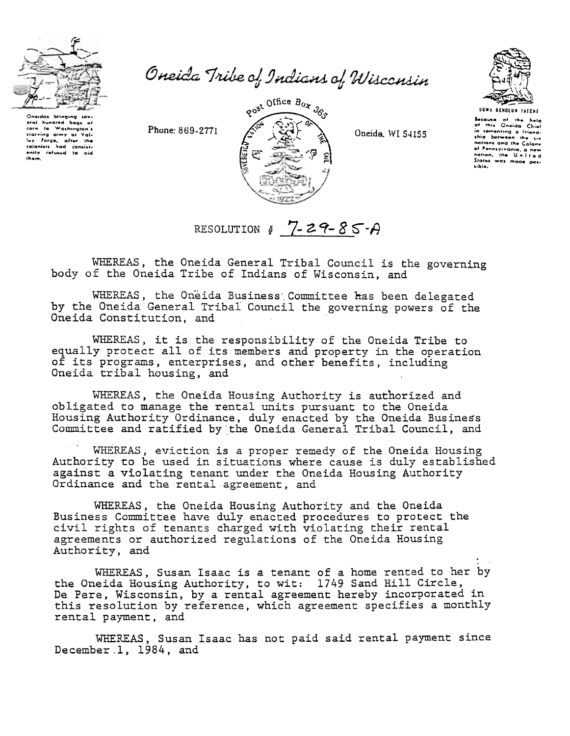

Onaidas bringing sav oral hundred bags of carn is washington is<br>her forge, after the<br>colonists had consistently refused to aid them.

Oneida Tribe of Indians of Wisconsin

Phone: 869-2771



Oneida, WI 54155



**UGWA DENOLUN TATENE** Secause of the help<br>of this Oneida Chief in comenting a friend. nations and the Calony of Pennsylvania, a new Status was made possible.

RESOLUTION #  $7 - 29 - 85 - A$ 

WHEREAS, the Oneida General Tribal Council is the governing body of the Oneida Tribe of Indians of Wisconsin, and

WHEREAS, the Oneida Business Committee has been delegated by the Oneida General Tribal Council the governing powers of the Oneida Constitution, and

WHEREAS, it is the responsibility of the Oneida Tribe to equally protect all of its members and property in the operation of its programs, enterprises, and other benefits, including Oneida tribal housing, and

WHEREAS, the Oneida Housing Authority is authorized and obligated to manage the rental units pursuant to the Oneida Housing Authority Ordinance, duly enacted by the Oneida Business<br>Committee and ratified by the Oneida General Tribal Council, and

WHEREAS, eviction is a proper remedy of the Oneida Housing Authority to be used in situations where cause is duly established against a violating tenant under the Oneida Housing Authority Ordinance and the rental agreement, and

WHEREAS, the Oneida Housing Authority and the Oneida Business Committee have duly enacted procedures to protect the civil rights of tenants charged with violating their rental agreements or authorized regulations of the Oneida Housing Authority, and

WHEREAS, Susan Isaac is a tenant of a home rented to her by the Oneida Housing Authority, to wit: 1749 Sand Hill Circle, De Pere, Wisconsin, by a rental agreement hereby incorporated in this resolution by reference, which agreement specifies a monthly rental payment, and

WHEREAS, Susan Isaac has not paid said rental payment since December 1, 1984, and